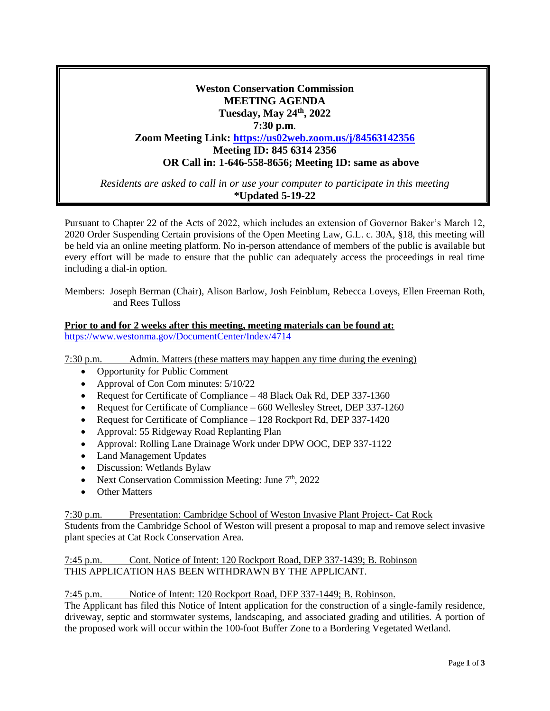# **Weston Conservation Commission MEETING AGENDA Tuesday, May 24th, 2022 7:30 p.m**. **Zoom Meeting Link: <https://us02web.zoom.us/j/84563142356> Meeting ID: 845 6314 2356 OR Call in: 1-646-558-8656; Meeting ID: same as above**

*Residents are asked to call in or use your computer to participate in this meeting* **\*Updated 5-19-22**

Pursuant to Chapter 22 of the Acts of 2022, which includes an extension of Governor Baker's March 12, 2020 Order Suspending Certain provisions of the Open Meeting Law, G.L. c. 30A, §18, this meeting will be held via an online meeting platform. No in-person attendance of members of the public is available but every effort will be made to ensure that the public can adequately access the proceedings in real time including a dial-in option.

Members: Joseph Berman (Chair), Alison Barlow, Josh Feinblum, Rebecca Loveys, Ellen Freeman Roth, and Rees Tulloss

## **Prior to and for 2 weeks after this meeting, meeting materials can be found at:** <https://www.westonma.gov/DocumentCenter/Index/4714>

7:30 p.m. Admin. Matters (these matters may happen any time during the evening)

- Opportunity for Public Comment
- Approval of Con Com minutes:  $5/10/22$
- Request for Certificate of Compliance 48 Black Oak Rd, DEP 337-1360
- Request for Certificate of Compliance 660 Wellesley Street, DEP 337-1260
- Request for Certificate of Compliance 128 Rockport Rd, DEP 337-1420
- Approval: 55 Ridgeway Road Replanting Plan
- Approval: Rolling Lane Drainage Work under DPW OOC, DEP 337-1122
- Land Management Updates
- Discussion: Wetlands Bylaw
- Next Conservation Commission Meeting: June  $7<sup>th</sup>$ , 2022
- **Other Matters**

7:30 p.m. Presentation: Cambridge School of Weston Invasive Plant Project- Cat Rock Students from the Cambridge School of Weston will present a proposal to map and remove select invasive plant species at Cat Rock Conservation Area.

## 7:45 p.m. Cont. Notice of Intent: 120 Rockport Road, DEP 337-1439; B. Robinson THIS APPLICATION HAS BEEN WITHDRAWN BY THE APPLICANT.

### 7:45 p.m. Notice of Intent: 120 Rockport Road, DEP 337-1449; B. Robinson.

The Applicant has filed this Notice of Intent application for the construction of a single-family residence, driveway, septic and stormwater systems, landscaping, and associated grading and utilities. A portion of the proposed work will occur within the 100-foot Buffer Zone to a Bordering Vegetated Wetland.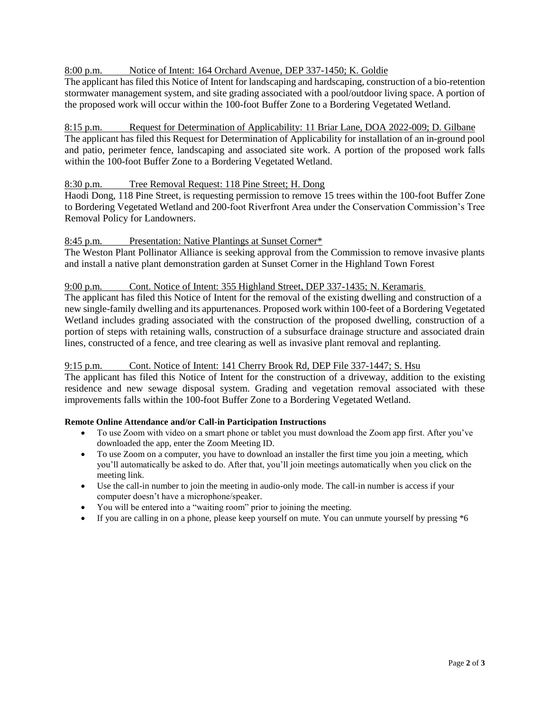## 8:00 p.m. Notice of Intent: 164 Orchard Avenue, DEP 337-1450; K. Goldie

The applicant has filed this Notice of Intent for landscaping and hardscaping, construction of a bio-retention stormwater management system, and site grading associated with a pool/outdoor living space. A portion of the proposed work will occur within the 100-foot Buffer Zone to a Bordering Vegetated Wetland.

### 8:15 p.m. Request for Determination of Applicability: 11 Briar Lane, DOA 2022-009; D. Gilbane

The applicant has filed this Request for Determination of Applicability for installation of an in-ground pool and patio, perimeter fence, landscaping and associated site work. A portion of the proposed work falls within the 100-foot Buffer Zone to a Bordering Vegetated Wetland.

### 8:30 p.m. Tree Removal Request: 118 Pine Street; H. Dong

Haodi Dong, 118 Pine Street, is requesting permission to remove 15 trees within the 100-foot Buffer Zone to Bordering Vegetated Wetland and 200-foot Riverfront Area under the Conservation Commission's Tree Removal Policy for Landowners.

### 8:45 p.m. Presentation: Native Plantings at Sunset Corner\*

The Weston Plant Pollinator Alliance is seeking approval from the Commission to remove invasive plants and install a native plant demonstration garden at Sunset Corner in the Highland Town Forest

### 9:00 p.m. Cont. Notice of Intent: 355 Highland Street, DEP 337-1435; N. Keramaris

The applicant has filed this Notice of Intent for the removal of the existing dwelling and construction of a new single-family dwelling and its appurtenances. Proposed work within 100-feet of a Bordering Vegetated Wetland includes grading associated with the construction of the proposed dwelling, construction of a portion of steps with retaining walls, construction of a subsurface drainage structure and associated drain lines, constructed of a fence, and tree clearing as well as invasive plant removal and replanting.

### 9:15 p.m. Cont. Notice of Intent: 141 Cherry Brook Rd, DEP File 337-1447; S. Hsu

The applicant has filed this Notice of Intent for the construction of a driveway, addition to the existing residence and new sewage disposal system. Grading and vegetation removal associated with these improvements falls within the 100-foot Buffer Zone to a Bordering Vegetated Wetland.

### **Remote Online Attendance and/or Call-in Participation Instructions**

- To use Zoom with video on a smart phone or tablet you must download the Zoom app first. After you've downloaded the app, enter the Zoom Meeting ID.
- To use Zoom on a computer, you have to download an installer the first time you join a meeting, which you'll automatically be asked to do. After that, you'll join meetings automatically when you click on the meeting link.
- Use the call-in number to join the meeting in audio-only mode. The call-in number is access if your computer doesn't have a microphone/speaker.
- You will be entered into a "waiting room" prior to joining the meeting.
- If you are calling in on a phone, please keep yourself on mute. You can unmute yourself by pressing \*6